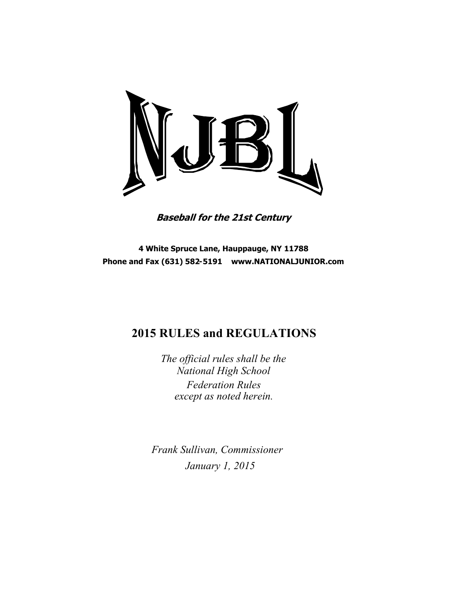

**Baseball for the 21st Century**

**4 White Spruce Lane, Hauppauge, NY 11788 Phone and Fax (631) 582-5191 www.NATIONALJUNIOR.com**

# **2015 RULES and REGULATIONS**

*The official rules shall be the National High School Federation Rules except as noted herein.*

*Frank Sullivan, Commissioner January 1, 2015*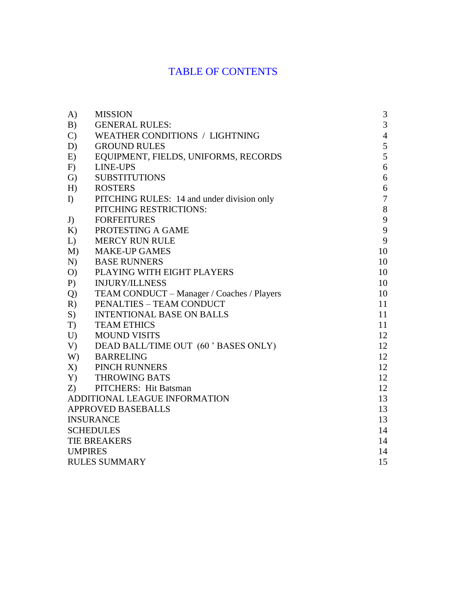# TABLE OF CONTENTS

| A)                            | <b>MISSION</b>                             | 3              |
|-------------------------------|--------------------------------------------|----------------|
| B)                            | <b>GENERAL RULES:</b>                      | $\overline{3}$ |
| $\mathcal{C}$                 | <b>WEATHER CONDITIONS / LIGHTNING</b>      | $\overline{4}$ |
| D)                            | <b>GROUND RULES</b>                        | $\sqrt{5}$     |
| E)                            | EQUIPMENT, FIELDS, UNIFORMS, RECORDS       | 5              |
| F)                            | <b>LINE-UPS</b>                            | 6              |
| $\mathcal{G}$                 | <b>SUBSTITUTIONS</b>                       | 6              |
| H)                            | <b>ROSTERS</b>                             | 6              |
| I)                            | PITCHING RULES: 14 and under division only | $\overline{7}$ |
|                               | PITCHING RESTRICTIONS:                     | $8\,$          |
| J)                            | <b>FORFEITURES</b>                         | 9              |
| K)                            | PROTESTING A GAME                          | $\mathbf{9}$   |
| L)                            | <b>MERCY RUN RULE</b>                      | 9              |
| M)                            | <b>MAKE-UP GAMES</b>                       | 10             |
| N)                            | <b>BASE RUNNERS</b>                        | 10             |
| O                             | PLAYING WITH EIGHT PLAYERS                 | 10             |
| P)                            | <b>INJURY/ILLNESS</b>                      | 10             |
| Q                             | TEAM CONDUCT - Manager / Coaches / Players | 10             |
| R)                            | PENALTIES - TEAM CONDUCT                   | 11             |
| S)                            | <b>INTENTIONAL BASE ON BALLS</b>           | 11             |
| T)                            | <b>TEAM ETHICS</b>                         | 11             |
| U                             | <b>MOUND VISITS</b>                        | 12             |
| V)                            | DEAD BALL/TIME OUT (60 ' BASES ONLY)       | 12             |
| W)                            | <b>BARRELING</b>                           | 12             |
| X)                            | PINCH RUNNERS                              | 12             |
|                               | Y) THROWING BATS                           | 12             |
| Z)                            | PITCHERS: Hit Batsman                      | 12             |
| ADDITIONAL LEAGUE INFORMATION |                                            | 13             |
| APPROVED BASEBALLS            | 13                                         |                |
| <b>INSURANCE</b>              | 13                                         |                |
| <b>SCHEDULES</b>              |                                            |                |
| TIE BREAKERS                  |                                            |                |
| <b>UMPIRES</b>                | 14                                         |                |
| <b>RULES SUMMARY</b>          | 15                                         |                |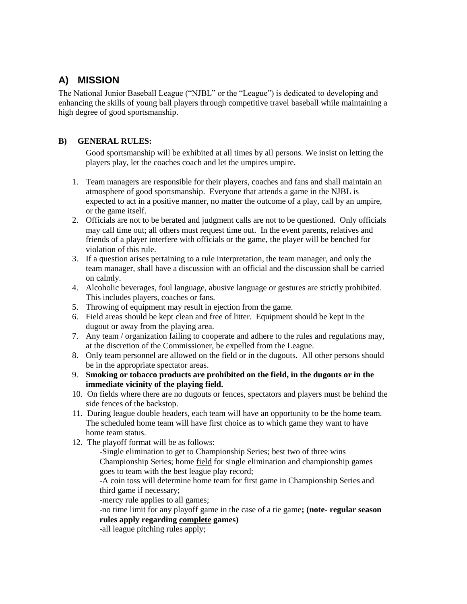# <span id="page-2-0"></span>**A) MISSION**

The National Junior Baseball League ("NJBL" or the "League") is dedicated to developing and enhancing the skills of young ball players through competitive travel baseball while maintaining a high degree of good sportsmanship.

## <span id="page-2-1"></span>**B) GENERAL RULES:**

Good sportsmanship will be exhibited at all times by all persons. We insist on letting the players play, let the coaches coach and let the umpires umpire.

- 1. Team managers are responsible for their players, coaches and fans and shall maintain an atmosphere of good sportsmanship. Everyone that attends a game in the NJBL is expected to act in a positive manner, no matter the outcome of a play, call by an umpire, or the game itself.
- 2. Officials are not to be berated and judgment calls are not to be questioned. Only officials may call time out; all others must request time out. In the event parents, relatives and friends of a player interfere with officials or the game, the player will be benched for violation of this rule.
- 3. If a question arises pertaining to a rule interpretation, the team manager, and only the team manager, shall have a discussion with an official and the discussion shall be carried on calmly.
- 4. Alcoholic beverages, foul language, abusive language or gestures are strictly prohibited. This includes players, coaches or fans.
- 5. Throwing of equipment may result in ejection from the game.
- 6. Field areas should be kept clean and free of litter. Equipment should be kept in the dugout or away from the playing area.
- 7. Any team / organization failing to cooperate and adhere to the rules and regulations may, at the discretion of the Commissioner, be expelled from the League.
- 8. Only team personnel are allowed on the field or in the dugouts. All other persons should be in the appropriate spectator areas.
- 9. **Smoking or tobacco products are prohibited on the field, in the dugouts or in the immediate vicinity of the playing field.**
- 10. On fields where there are no dugouts or fences, spectators and players must be behind the side fences of the backstop.
- 11. During league double headers, each team will have an opportunity to be the home team. The scheduled home team will have first choice as to which game they want to have home team status.
- 12. The playoff format will be as follows:

-Single elimination to get to Championship Series; best two of three wins Championship Series; home field for single elimination and championship games goes to team with the best league play record;

-A coin toss will determine home team for first game in Championship Series and third game if necessary;

-mercy rule applies to all games;

-no time limit for any playoff game in the case of a tie game**; (note- regular season rules apply regarding complete games)**

-all league pitching rules apply;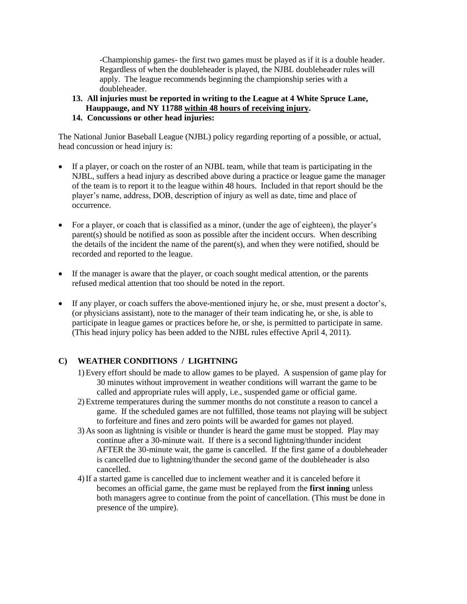-Championship games- the first two games must be played as if it is a double header. Regardless of when the doubleheader is played, the NJBL doubleheader rules will apply. The league recommends beginning the championship series with a doubleheader.

- **13. All injuries must be reported in writing to the League at 4 White Spruce Lane, Hauppauge, and NY 11788 within 48 hours of receiving injury.**
- **14. Concussions or other head injuries:**

The National Junior Baseball League (NJBL) policy regarding reporting of a possible, or actual, head concussion or head injury is:

- If a player, or coach on the roster of an NJBL team, while that team is participating in the NJBL, suffers a head injury as described above during a practice or league game the manager of the team is to report it to the league within 48 hours. Included in that report should be the player's name, address, DOB, description of injury as well as date, time and place of occurrence.
- For a player, or coach that is classified as a minor, (under the age of eighteen), the player's parent(s) should be notified as soon as possible after the incident occurs. When describing the details of the incident the name of the parent(s), and when they were notified, should be recorded and reported to the league.
- If the manager is aware that the player, or coach sought medical attention, or the parents refused medical attention that too should be noted in the report.
- If any player, or coach suffers the above-mentioned injury he, or she, must present a doctor's, (or physicians assistant), note to the manager of their team indicating he, or she, is able to participate in league games or practices before he, or she, is permitted to participate in same. (This head injury policy has been added to the NJBL rules effective April 4, 2011).

## <span id="page-3-0"></span>**C) WEATHER CONDITIONS / LIGHTNING**

- 1)Every effort should be made to allow games to be played. A suspension of game play for 30 minutes without improvement in weather conditions will warrant the game to be called and appropriate rules will apply, i.e., suspended game or official game.
- 2)Extreme temperatures during the summer months do not constitute a reason to cancel a game. If the scheduled games are not fulfilled, those teams not playing will be subject to forfeiture and fines and zero points will be awarded for games not played.
- 3) As soon as lightning is visible or thunder is heard the game must be stopped. Play may continue after a 30-minute wait. If there is a second lightning/thunder incident AFTER the 30-minute wait, the game is cancelled. If the first game of a doubleheader is cancelled due to lightning/thunder the second game of the doubleheader is also cancelled.
- 4)If a started game is cancelled due to inclement weather and it is canceled before it becomes an official game, the game must be replayed from the **first inning** unless both managers agree to continue from the point of cancellation. (This must be done in presence of the umpire).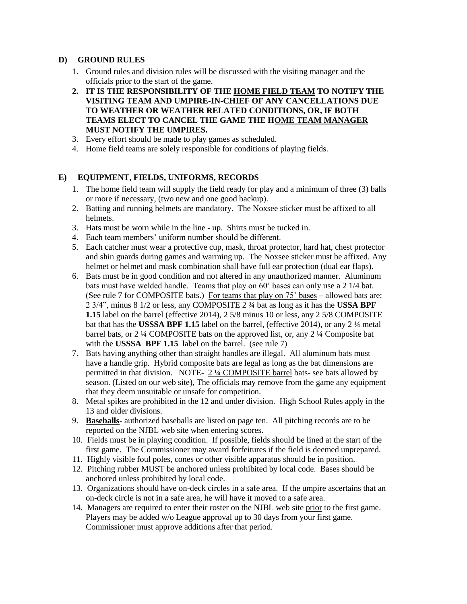### <span id="page-4-0"></span>**D) GROUND RULES**

- 1. Ground rules and division rules will be discussed with the visiting manager and the officials prior to the start of the game.
- **2. IT IS THE RESPONSIBILITY OF THE HOME FIELD TEAM TO NOTIFY THE VISITING TEAM AND UMPIRE-IN-CHIEF OF ANY CANCELLATIONS DUE TO WEATHER OR WEATHER RELATED CONDITIONS, OR, IF BOTH TEAMS ELECT TO CANCEL THE GAME THE HOME TEAM MANAGER MUST NOTIFY THE UMPIRES.**
- 3. Every effort should be made to play games as scheduled.
- 4. Home field teams are solely responsible for conditions of playing fields.

## <span id="page-4-1"></span>**E) EQUIPMENT, FIELDS, UNIFORMS, RECORDS**

- 1. The home field team will supply the field ready for play and a minimum of three (3) balls or more if necessary, (two new and one good backup).
- 2. Batting and running helmets are mandatory. The Noxsee sticker must be affixed to all helmets.
- 3. Hats must be worn while in the line up. Shirts must be tucked in.
- 4. Each team members' uniform number should be different.
- 5. Each catcher must wear a protective cup, mask, throat protector, hard hat, chest protector and shin guards during games and warming up. The Noxsee sticker must be affixed. Any helmet or helmet and mask combination shall have full ear protection (dual ear flaps).
- 6. Bats must be in good condition and not altered in any unauthorized manner. Aluminum bats must have welded handle. Teams that play on 60' bases can only use a 2 1/4 bat. (See rule 7 for COMPOSITE bats.) For teams that play on 75' bases – allowed bats are: 2 3/4", minus 8 1/2 or less, any COMPOSITE 2 ¾ bat as long as it has the **USSA BPF 1.15** label on the barrel (effective 2014), 2 5/8 minus 10 or less, any 2 5/8 COMPOSITE bat that has the **USSSA BPF 1.15** label on the barrel, (effective 2014), or any 2 ¼ metal barrel bats, or 2 ¼ COMPOSITE bats on the approved list, or, any 2 ¼ Composite bat with the **USSSA BPF 1.15** label on the barrel. (see rule 7)
- 7. Bats having anything other than straight handles are illegal. All aluminum bats must have a handle grip. Hybrid composite bats are legal as long as the bat dimensions are permitted in that division. NOTE- 2 ¼ COMPOSITE barrel bats- see bats allowed by season. (Listed on our web site), The officials may remove from the game any equipment that they deem unsuitable or unsafe for competition.
- 8. Metal spikes are prohibited in the 12 and under division. High School Rules apply in the 13 and older divisions.
- 9. **Baseballs-** authorized baseballs are listed on page ten. All pitching records are to be reported on the NJBL web site when entering scores.
- 10. Fields must be in playing condition. If possible, fields should be lined at the start of the first game. The Commissioner may award forfeitures if the field is deemed unprepared.
- 11. Highly visible foul poles, cones or other visible apparatus should be in position.
- 12. Pitching rubber MUST be anchored unless prohibited by local code. Bases should be anchored unless prohibited by local code.
- 13. Organizations should have on-deck circles in a safe area. If the umpire ascertains that an on-deck circle is not in a safe area, he will have it moved to a safe area.
- 14. Managers are required to enter their roster on the NJBL web site prior to the first game. Players may be added w/o League approval up to 30 days from your first game. Commissioner must approve additions after that period.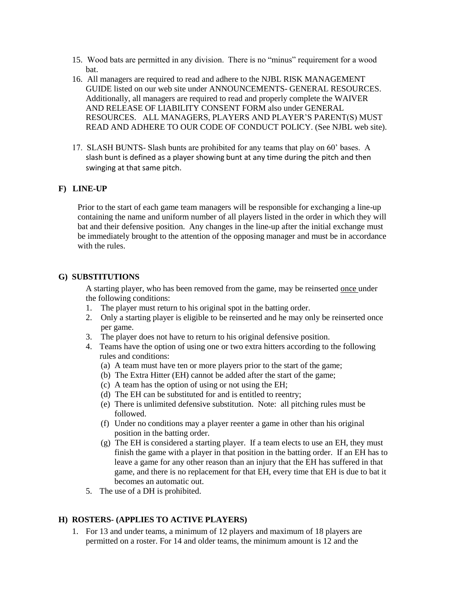- 15. Wood bats are permitted in any division. There is no "minus" requirement for a wood bat.
- 16. All managers are required to read and adhere to the NJBL RISK MANAGEMENT GUIDE listed on our web site under ANNOUNCEMENTS- GENERAL RESOURCES. Additionally, all managers are required to read and properly complete the WAIVER AND RELEASE OF LIABILITY CONSENT FORM also under GENERAL RESOURCES. ALL MANAGERS, PLAYERS AND PLAYER'S PARENT(S) MUST READ AND ADHERE TO OUR CODE OF CONDUCT POLICY. (See NJBL web site).
- 17. SLASH BUNTS- Slash bunts are prohibited for any teams that play on 60' bases. A slash bunt is defined as a player showing bunt at any time during the pitch and then swinging at that same pitch.

## <span id="page-5-0"></span>**F) LINE-UP**

Prior to the start of each game team managers will be responsible for exchanging a line-up containing the name and uniform number of all players listed in the order in which they will bat and their defensive position. Any changes in the line-up after the initial exchange must be immediately brought to the attention of the opposing manager and must be in accordance with the rules.

#### <span id="page-5-1"></span>**G) SUBSTITUTIONS**

A starting player, who has been removed from the game, may be reinserted once under the following conditions:

- 1. The player must return to his original spot in the batting order.
- 2. Only a starting player is eligible to be reinserted and he may only be reinserted once per game.
- 3. The player does not have to return to his original defensive position.
- 4. Teams have the option of using one or two extra hitters according to the following rules and conditions:
	- (a) A team must have ten or more players prior to the start of the game;
	- (b) The Extra Hitter (EH) cannot be added after the start of the game;
	- (c) A team has the option of using or not using the EH;
	- (d) The EH can be substituted for and is entitled to reentry;
	- (e) There is unlimited defensive substitution. Note: all pitching rules must be followed.
	- (f) Under no conditions may a player reenter a game in other than his original position in the batting order.
	- (g) The EH is considered a starting player. If a team elects to use an EH, they must finish the game with a player in that position in the batting order. If an EH has to leave a game for any other reason than an injury that the EH has suffered in that game, and there is no replacement for that EH, every time that EH is due to bat it becomes an automatic out.
- 5. The use of a DH is prohibited.

#### <span id="page-5-2"></span>**H) ROSTERS- (APPLIES TO ACTIVE PLAYERS)**

1. For 13 and under teams, a minimum of 12 players and maximum of 18 players are permitted on a roster. For 14 and older teams, the minimum amount is 12 and the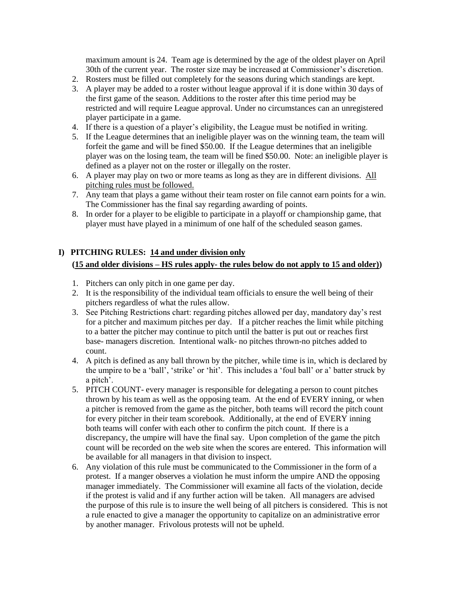maximum amount is 24. Team age is determined by the age of the oldest player on April 30th of the current year. The roster size may be increased at Commissioner's discretion.

- 2. Rosters must be filled out completely for the seasons during which standings are kept.
- 3. A player may be added to a roster without league approval if it is done within 30 days of the first game of the season. Additions to the roster after this time period may be restricted and will require League approval. Under no circumstances can an unregistered player participate in a game.
- 4. If there is a question of a player's eligibility, the League must be notified in writing.
- 5. If the League determines that an ineligible player was on the winning team, the team will forfeit the game and will be fined \$50.00. If the League determines that an ineligible player was on the losing team, the team will be fined \$50.00. Note: an ineligible player is defined as a player not on the roster or illegally on the roster.
- 6. A player may play on two or more teams as long as they are in different divisions. All pitching rules must be followed.
- 7. Any team that plays a game without their team roster on file cannot earn points for a win. The Commissioner has the final say regarding awarding of points.
- 8. In order for a player to be eligible to participate in a playoff or championship game, that player must have played in a minimum of one half of the scheduled season games.

## <span id="page-6-0"></span>**I) PITCHING RULES: 14 and under division only (15 and older divisions – HS rules apply- the rules below do not apply to 15 and older))**

- 1. Pitchers can only pitch in one game per day.
- 2. It is the responsibility of the individual team officials to ensure the well being of their pitchers regardless of what the rules allow.
- 3. See Pitching Restrictions chart: regarding pitches allowed per day, mandatory day's rest for a pitcher and maximum pitches per day. If a pitcher reaches the limit while pitching to a batter the pitcher may continue to pitch until the batter is put out or reaches first base- managers discretion. Intentional walk- no pitches thrown-no pitches added to count.
- 4. A pitch is defined as any ball thrown by the pitcher, while time is in, which is declared by the umpire to be a 'ball', 'strike' or 'hit'. This includes a 'foul ball' or a' batter struck by a pitch'.
- 5. PITCH COUNT- every manager is responsible for delegating a person to count pitches thrown by his team as well as the opposing team. At the end of EVERY inning, or when a pitcher is removed from the game as the pitcher, both teams will record the pitch count for every pitcher in their team scorebook. Additionally, at the end of EVERY inning both teams will confer with each other to confirm the pitch count. If there is a discrepancy, the umpire will have the final say. Upon completion of the game the pitch count will be recorded on the web site when the scores are entered. This information will be available for all managers in that division to inspect.
- 6. Any violation of this rule must be communicated to the Commissioner in the form of a protest. If a manger observes a violation he must inform the umpire AND the opposing manager immediately. The Commissioner will examine all facts of the violation, decide if the protest is valid and if any further action will be taken. All managers are advised the purpose of this rule is to insure the well being of all pitchers is considered. This is not a rule enacted to give a manager the opportunity to capitalize on an administrative error by another manager. Frivolous protests will not be upheld.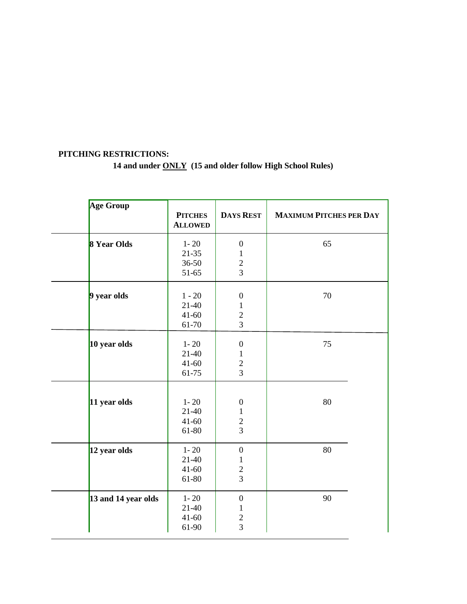# <span id="page-7-0"></span>**PITCHING RESTRICTIONS: 14 and under ONLY (15 and older follow High School Rules)**

| <b>DAYS REST</b><br><b>MAXIMUM PITCHES PER DAY</b><br><b>PITCHES</b><br><b>ALLOWED</b><br>8 Year Olds<br>65<br>$1 - 20$<br>$\boldsymbol{0}$<br>$21 - 35$ |  |
|----------------------------------------------------------------------------------------------------------------------------------------------------------|--|
|                                                                                                                                                          |  |
|                                                                                                                                                          |  |
| $\mathbf{1}$                                                                                                                                             |  |
| $\overline{c}$<br>36-50                                                                                                                                  |  |
| 3<br>51-65                                                                                                                                               |  |
| 70<br>9 year olds<br>$1 - 20$<br>$\boldsymbol{0}$                                                                                                        |  |
| $21-40$<br>$\mathbf{1}$                                                                                                                                  |  |
| $\overline{c}$<br>$41 - 60$                                                                                                                              |  |
| 3<br>61-70                                                                                                                                               |  |
|                                                                                                                                                          |  |
| 10 year olds<br>$1 - 20$<br>75<br>$\boldsymbol{0}$                                                                                                       |  |
| $21-40$<br>$\mathbf{1}$                                                                                                                                  |  |
| $41 - 60$<br>$\sqrt{2}$                                                                                                                                  |  |
| 3<br>61-75                                                                                                                                               |  |
|                                                                                                                                                          |  |
| $1 - 20$<br>11 year olds<br>80<br>$\boldsymbol{0}$                                                                                                       |  |
| $21 - 40$<br>$\mathbf{1}$                                                                                                                                |  |
| $\overline{c}$<br>$41 - 60$                                                                                                                              |  |
| $\overline{3}$<br>61-80                                                                                                                                  |  |
| $1 - 20$<br>80<br>12 year olds<br>$\boldsymbol{0}$                                                                                                       |  |
| $21 - 40$<br>$\mathbf{1}$                                                                                                                                |  |
| $41 - 60$<br>$\overline{c}$                                                                                                                              |  |
| $\overline{3}$<br>61-80                                                                                                                                  |  |
| 13 and 14 year olds<br>$1 - 20$<br>90<br>$\boldsymbol{0}$                                                                                                |  |
| $21-40$<br>1                                                                                                                                             |  |
| $41 - 60$<br>$\boldsymbol{2}$                                                                                                                            |  |
| 3<br>61-90                                                                                                                                               |  |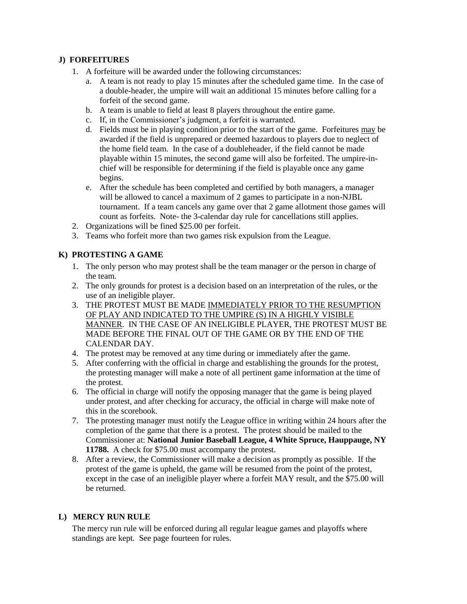## <span id="page-8-0"></span>**J) FORFEITURES**

- 1. A forfeiture will be awarded under the following circumstances:
	- a. A team is not ready to play 15 minutes after the scheduled game time. In the case of a double-header, the umpire will wait an additional 15 minutes before calling for a forfeit of the second game.
	- b. A team is unable to field at least 8 players throughout the entire game.
	- c. If, in the Commissioner's judgment, a forfeit is warranted.
	- d. Fields must be in playing condition prior to the start of the game. Forfeitures may be awarded if the field is unprepared or deemed hazardous to players due to neglect of the home field team. In the case of a doubleheader, if the field cannot be made playable within 15 minutes, the second game will also be forfeited. The umpire-inchief will be responsible for determining if the field is playable once any game begins.
	- e. After the schedule has been completed and certified by both managers, a manager will be allowed to cancel a maximum of 2 games to participate in a non-NJBL tournament. If a team cancels any game over that 2 game allotment those games will count as forfeits. Note- the 3-calendar day rule for cancellations still applies.
- 2. Organizations will be fined \$25.00 per forfeit.
- 3. Teams who forfeit more than two games risk expulsion from the League.

## <span id="page-8-1"></span>**K) PROTESTING A GAME**

- 1. The only person who may protest shall be the team manager or the person in charge of the team.
- 2. The only grounds for protest is a decision based on an interpretation of the rules, or the use of an ineligible player.
- 3. THE PROTEST MUST BE MADE IMMEDIATELY PRIOR TO THE RESUMPTION OF PLAY AND INDICATED TO THE UMPIRE (S) IN A HIGHLY VISIBLE MANNER. IN THE CASE OF AN INELIGIBLE PLAYER, THE PROTEST MUST BE MADE BEFORE THE FINAL OUT OF THE GAME OR BY THE END OF THE CALENDAR DAY.
- 4. The protest may be removed at any time during or immediately after the game.
- 5. After conferring with the official in charge and establishing the grounds for the protest, the protesting manager will make a note of all pertinent game information at the time of the protest.
- 6. The official in charge will notify the opposing manager that the game is being played under protest, and after checking for accuracy, the official in charge will make note of this in the scorebook.
- 7. The protesting manager must notify the League office in writing within 24 hours after the completion of the game that there is a protest. The protest should be mailed to the Commissioner at: **National Junior Baseball League, 4 White Spruce, Hauppauge, NY 11788.** A check for \$75.00 must accompany the protest.
- 8. After a review, the Commissioner will make a decision as promptly as possible. If the protest of the game is upheld, the game will be resumed from the point of the protest, except in the case of an ineligible player where a forfeit MAY result, and the \$75.00 will be returned.

#### <span id="page-8-2"></span>**L) MERCY RUN RULE**

The mercy run rule will be enforced during all regular league games and playoffs where standings are kept. See page fourteen for rules.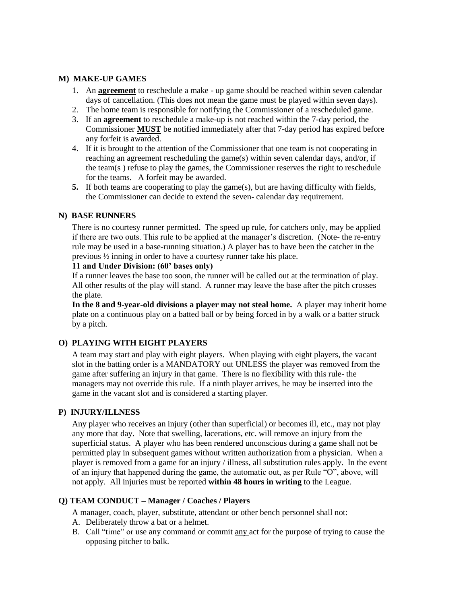#### <span id="page-9-0"></span>**M) MAKE-UP GAMES**

- 1. An **agreement** to reschedule a make up game should be reached within seven calendar days of cancellation. (This does not mean the game must be played within seven days).
- 2. The home team is responsible for notifying the Commissioner of a rescheduled game.
- 3. If an **agreement** to reschedule a make-up is not reached within the 7-day period, the Commissioner **MUST** be notified immediately after that 7-day period has expired before any forfeit is awarded.
- 4. If it is brought to the attention of the Commissioner that one team is not cooperating in reaching an agreement rescheduling the game(s) within seven calendar days, and/or, if the team(s ) refuse to play the games, the Commissioner reserves the right to reschedule for the teams. A forfeit may be awarded.
- **5.** If both teams are cooperating to play the game(s), but are having difficulty with fields, the Commissioner can decide to extend the seven- calendar day requirement.

#### <span id="page-9-1"></span>**N) BASE RUNNERS**

There is no courtesy runner permitted. The speed up rule, for catchers only, may be applied if there are two outs. This rule to be applied at the manager's discretion. (Note- the re-entry rule may be used in a base-running situation.) A player has to have been the catcher in the previous ½ inning in order to have a courtesy runner take his place.

## **11 and Under Division: (60' bases only)**

If a runner leaves the base too soon, the runner will be called out at the termination of play. All other results of the play will stand. A runner may leave the base after the pitch crosses the plate.

**In the 8 and 9-year-old divisions a player may not steal home.** A player may inherit home plate on a continuous play on a batted ball or by being forced in by a walk or a batter struck by a pitch.

## <span id="page-9-2"></span>**O) PLAYING WITH EIGHT PLAYERS**

A team may start and play with eight players. When playing with eight players, the vacant slot in the batting order is a MANDATORY out UNLESS the player was removed from the game after suffering an injury in that game. There is no flexibility with this rule- the managers may not override this rule. If a ninth player arrives, he may be inserted into the game in the vacant slot and is considered a starting player.

#### <span id="page-9-3"></span>**P) INJURY/ILLNESS**

Any player who receives an injury (other than superficial) or becomes ill, etc., may not play any more that day. Note that swelling, lacerations, etc. will remove an injury from the superficial status. A player who has been rendered unconscious during a game shall not be permitted play in subsequent games without written authorization from a physician. When a player is removed from a game for an injury / illness, all substitution rules apply. In the event of an injury that happened during the game, the automatic out, as per Rule "O", above, will not apply. All injuries must be reported **within 48 hours in writing** to the League.

## <span id="page-9-4"></span>**Q) TEAM CONDUCT – Manager / Coaches / Players**

A manager, coach, player, substitute, attendant or other bench personnel shall not:

- A. Deliberately throw a bat or a helmet.
- B. Call "time" or use any command or commit any act for the purpose of trying to cause the opposing pitcher to balk.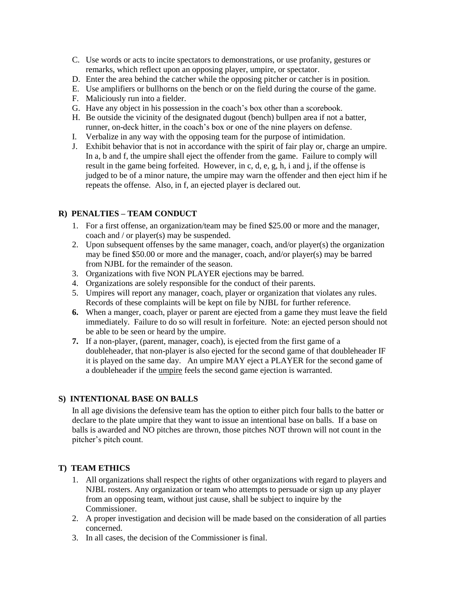- C. Use words or acts to incite spectators to demonstrations, or use profanity, gestures or remarks, which reflect upon an opposing player, umpire, or spectator.
- D. Enter the area behind the catcher while the opposing pitcher or catcher is in position.
- E. Use amplifiers or bullhorns on the bench or on the field during the course of the game.
- F. Maliciously run into a fielder.
- G. Have any object in his possession in the coach's box other than a scorebook.
- H. Be outside the vicinity of the designated dugout (bench) bullpen area if not a batter, runner, on-deck hitter, in the coach's box or one of the nine players on defense.
- I. Verbalize in any way with the opposing team for the purpose of intimidation.
- J. Exhibit behavior that is not in accordance with the spirit of fair play or, charge an umpire. In a, b and f, the umpire shall eject the offender from the game. Failure to comply will result in the game being forfeited. However, in c, d, e, g, h, i and j, if the offense is judged to be of a minor nature, the umpire may warn the offender and then eject him if he repeats the offense. Also, in f, an ejected player is declared out.

## <span id="page-10-0"></span>**R) PENALTIES – TEAM CONDUCT**

- 1. For a first offense, an organization/team may be fined \$25.00 or more and the manager, coach and / or player(s) may be suspended.
- 2. Upon subsequent offenses by the same manager, coach, and/or player(s) the organization may be fined \$50.00 or more and the manager, coach, and/or player(s) may be barred from NJBL for the remainder of the season.
- 3. Organizations with five NON PLAYER ejections may be barred.
- 4. Organizations are solely responsible for the conduct of their parents.
- 5. Umpires will report any manager, coach, player or organization that violates any rules. Records of these complaints will be kept on file by NJBL for further reference.
- **6.** When a manger, coach, player or parent are ejected from a game they must leave the field immediately. Failure to do so will result in forfeiture. Note: an ejected person should not be able to be seen or heard by the umpire.
- **7.** If a non-player, (parent, manager, coach), is ejected from the first game of a doubleheader, that non-player is also ejected for the second game of that doubleheader IF it is played on the same day. An umpire MAY eject a PLAYER for the second game of a doubleheader if the umpire feels the second game ejection is warranted.

## <span id="page-10-1"></span>**S) INTENTIONAL BASE ON BALLS**

In all age divisions the defensive team has the option to either pitch four balls to the batter or declare to the plate umpire that they want to issue an intentional base on balls. If a base on balls is awarded and NO pitches are thrown, those pitches NOT thrown will not count in the pitcher's pitch count.

## <span id="page-10-2"></span>**T) TEAM ETHICS**

- 1. All organizations shall respect the rights of other organizations with regard to players and NJBL rosters. Any organization or team who attempts to persuade or sign up any player from an opposing team, without just cause, shall be subject to inquire by the Commissioner.
- 2. A proper investigation and decision will be made based on the consideration of all parties concerned.
- 3. In all cases, the decision of the Commissioner is final.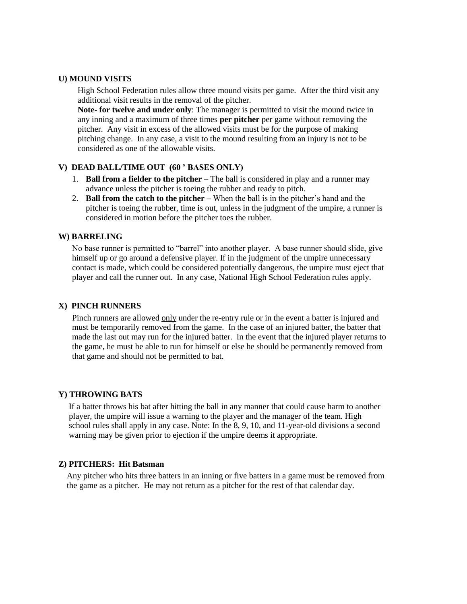#### <span id="page-11-0"></span>**U) MOUND VISITS**

High School Federation rules allow three mound visits per game. After the third visit any additional visit results in the removal of the pitcher.

**Note**- **for twelve and under only**: The manager is permitted to visit the mound twice in any inning and a maximum of three times **per pitcher** per game without removing the pitcher. Any visit in excess of the allowed visits must be for the purpose of making pitching change. In any case, a visit to the mound resulting from an injury is not to be considered as one of the allowable visits.

### <span id="page-11-1"></span>**V) DEAD BALL/TIME OUT (60 ' BASES ONLY)**

- 1. **Ball from a fielder to the pitcher –** The ball is considered in play and a runner may advance unless the pitcher is toeing the rubber and ready to pitch.
- 2. **Ball from the catch to the pitcher –** When the ball is in the pitcher's hand and the pitcher is toeing the rubber, time is out, unless in the judgment of the umpire, a runner is considered in motion before the pitcher toes the rubber.

#### <span id="page-11-2"></span>**W) BARRELING**

No base runner is permitted to "barrel" into another player. A base runner should slide, give himself up or go around a defensive player. If in the judgment of the umpire unnecessary contact is made, which could be considered potentially dangerous, the umpire must eject that player and call the runner out. In any case, National High School Federation rules apply.

#### <span id="page-11-3"></span>**X) PINCH RUNNERS**

Pinch runners are allowed only under the re-entry rule or in the event a batter is injured and must be temporarily removed from the game. In the case of an injured batter, the batter that made the last out may run for the injured batter. In the event that the injured player returns to the game, he must be able to run for himself or else he should be permanently removed from that game and should not be permitted to bat.

#### <span id="page-11-4"></span>**Y) THROWING BATS**

 If a batter throws his bat after hitting the ball in any manner that could cause harm to another player, the umpire will issue a warning to the player and the manager of the team. High school rules shall apply in any case. Note: In the 8, 9, 10, and 11-year-old divisions a second warning may be given prior to ejection if the umpire deems it appropriate.

#### <span id="page-11-5"></span>**Z) PITCHERS: Hit Batsman**

 Any pitcher who hits three batters in an inning or five batters in a game must be removed from the game as a pitcher. He may not return as a pitcher for the rest of that calendar day.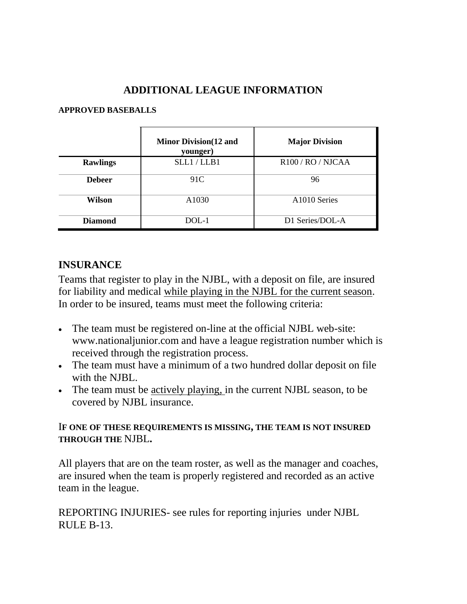# **ADDITIONAL LEAGUE INFORMATION**

## <span id="page-12-1"></span><span id="page-12-0"></span>**APPROVED BASEBALLS**

|                 | <b>Minor Division</b> (12 and<br>younger) | <b>Major Division</b>         |
|-----------------|-------------------------------------------|-------------------------------|
| <b>Rawlings</b> | SLL1/LLB1                                 | R <sub>100</sub> / RO / NJCAA |
| <b>Debeer</b>   | 91C                                       | 96                            |
| Wilson          | A <sub>1030</sub>                         | A1010 Series                  |
| <b>Diamond</b>  | DOL-1                                     | D1 Series/DOL-A               |

# <span id="page-12-2"></span>**INSURANCE**

Teams that register to play in the NJBL, with a deposit on file, are insured for liability and medical while playing in the NJBL for the current season. In order to be insured, teams must meet the following criteria:

- The team must be registered on-line at the official NJBL web-site: www.nationaljunior.com and have a league registration number which is received through the registration process.
- The team must have a minimum of a two hundred dollar deposit on file with the NJBL.
- The team must be actively playing, in the current NJBL season, to be covered by NJBL insurance.

# I**F ONE OF THESE REQUIREMENTS IS MISSING, THE TEAM IS NOT INSURED THROUGH THE** NJBL**.**

All players that are on the team roster, as well as the manager and coaches, are insured when the team is properly registered and recorded as an active team in the league.

REPORTING INJURIES- see rules for reporting injuries under NJBL RULE B-13.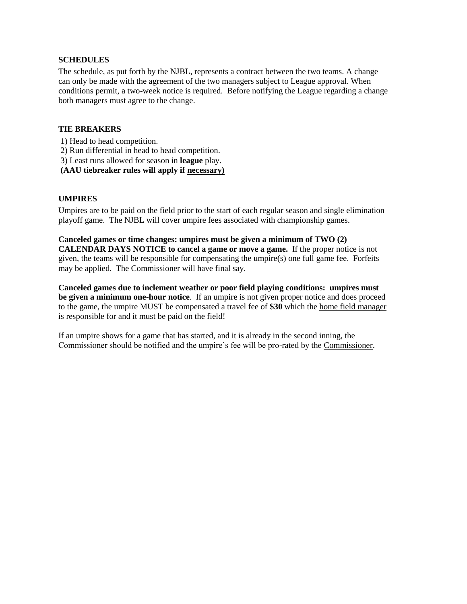#### <span id="page-13-0"></span>**SCHEDULES**

The schedule, as put forth by the NJBL, represents a contract between the two teams. A change can only be made with the agreement of the two managers subject to League approval. When conditions permit, a two-week notice is required. Before notifying the League regarding a change both managers must agree to the change.

#### <span id="page-13-1"></span>**TIE BREAKERS**

- 1) Head to head competition.
- 2) Run differential in head to head competition.
- 3) Least runs allowed for season in **league** play.
- **(AAU tiebreaker rules will apply if necessary)**

#### <span id="page-13-2"></span>**UMPIRES**

Umpires are to be paid on the field prior to the start of each regular season and single elimination playoff game. The NJBL will cover umpire fees associated with championship games.

## **Canceled games or time changes: umpires must be given a minimum of TWO (2) CALENDAR DAYS NOTICE to cancel a game or move a game.** If the proper notice is not given, the teams will be responsible for compensating the umpire(s) one full game fee. Forfeits may be applied. The Commissioner will have final say.

**Canceled games due to inclement weather or poor field playing conditions: umpires must be given a minimum one-hour notice**. If an umpire is not given proper notice and does proceed to the game, the umpire MUST be compensated a travel fee of **\$30** which the home field manager is responsible for and it must be paid on the field!

If an umpire shows for a game that has started, and it is already in the second inning, the Commissioner should be notified and the umpire's fee will be pro-rated by the Commissioner.